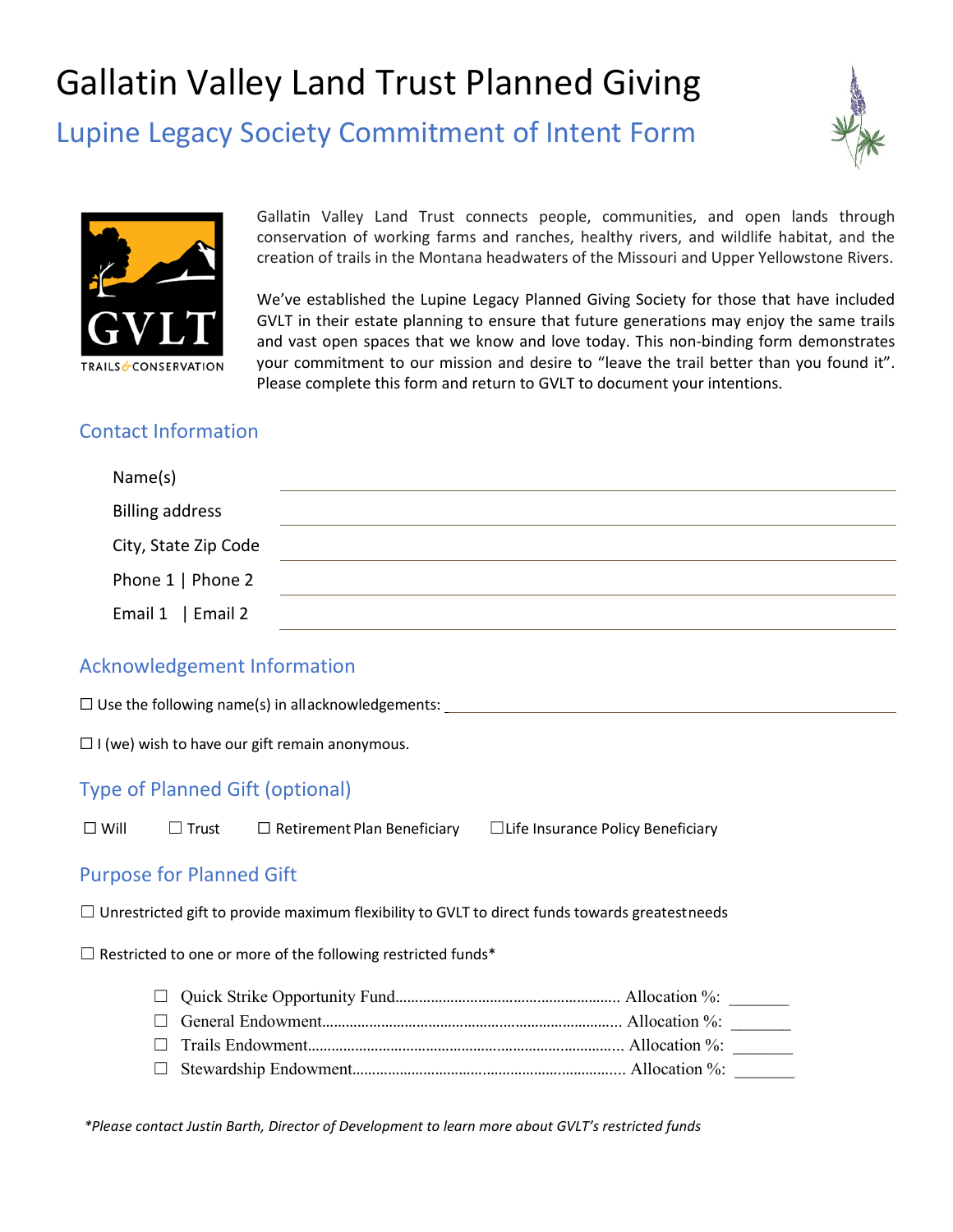# Gallatin Valley Land Trust Planned Giving

Lupine Legacy Society Commitment of Intent Form





Gallatin Valley Land Trust connects people, communities, and open lands through conservation of working farms and ranches, healthy rivers, and wildlife habitat, and the creation of trails in the Montana headwaters of the Missouri and Upper Yellowstone Rivers.

We've established the Lupine Legacy Planned Giving Society for those that have included GVLT in their estate planning to ensure that future generations may enjoy the same trails and vast open spaces that we know and love today. This non-binding form demonstrates your commitment to our mission and desire to "leave the trail better than you found it". Please complete this form and return to GVLT to document your intentions.

## Contact Information

| Name(s)                |  |
|------------------------|--|
| <b>Billing address</b> |  |
| City, State Zip Code   |  |
| Phone 1   Phone 2      |  |
| Email $1$   Email 2    |  |

## Acknowledgement Information

| $\Box$ Use the following name(s) in allacknowledgements: |  |
|----------------------------------------------------------|--|
|----------------------------------------------------------|--|

 $\Box$  I (we) wish to have our gift remain anonymous.

## Type of Planned Gift (optional)

☐ Will ☐ Trust ☐ Retirement Plan Beneficiary ☐Life Insurance Policy Beneficiary

#### Purpose for Planned Gift

 $\Box$  Unrestricted gift to provide maximum flexibility to GVLT to direct funds towards greatestneeds

 $\Box$  Restricted to one or more of the following restricted funds\*

*\*Please contact Justin Barth, Director of Development to learn more about GVLT's restricted funds*